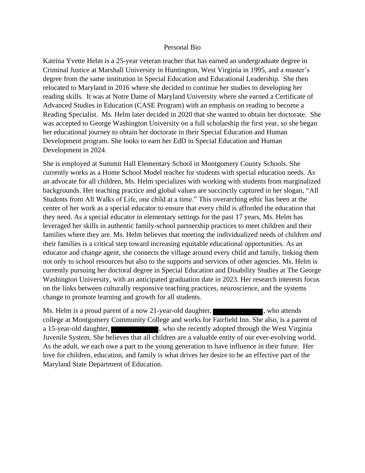#### Personal Bio

Katrina Yvette Helm is a 25-year veteran teacher that has earned an undergraduate degree in Criminal Justice at Marshall University in Huntington, West Virginia in 1995, and a master's degree from the same institution in Special Education and Educational Leadership. She then relocated to Maryland in 2016 where she decided to continue her studies to developing her reading skills. It was at Notre Dame of Maryland University where she earned a Certificate of Advanced Studies in Education (CASE Program) with an emphasis on reading to become a Reading Specialist. Ms. Helm later decided in 2020 that she wanted to obtain her doctorate. She was accepted to George Washington University on a full scholarship the first year, so she began her educational journey to obtain her doctorate in their Special Education and Human Development program. She looks to earn her EdD in Special Education and Human Development in 2024.

She is employed at Summit Hall Elementary School in Montgomery County Schools. She currently works as a Home School Model teacher for students with special education needs. As an advocate for all children, Ms. Helm specializes with working with students from marginalized backgrounds. Her teaching practice and global values are succinctly captured in her slogan, "All Students from All Walks of Life, one child at a time." This overarching ethic has been at the center of her work as a special educator to ensure that every child is afforded the education that they need. As a special educator in elementary settings for the past 17 years, Ms. Helm has leveraged her skills in authentic family-school partnership practices to meet children and their families where they are. Ms. Helm believes that meeting the individualized needs of children *and* their families is a critical step toward increasing equitable educational opportunities. As an educator and change agent, she connects the village around every child and family, linking them not only to school resources but also to the supports and services of other agencies. Ms. Helm is currently pursuing her doctoral degree in Special Education and Disability Studies at The George Washington University, with an anticipated graduation date in 2023. Her research interests focus on the links between culturally responsive teaching practices, neuroscience, and the systems change to promote learning and growth for all students.

Ms. Helm is a proud parent of a now 21-year-old daughter,  $\blacksquare$ , who attends college at Montgomery Community College and works for Fairfield Inn. She also, is a parent of a 15-year-old daughter, who she recently adopted through the West Virginia Juvenile System. She believes that all children are a valuable entity of our ever-evolving world. As the adult, we each owe a part to the young generation to have influence in their future. Her love for children, education, and family is what drives her desire to be an effective part of the Maryland State Department of Education.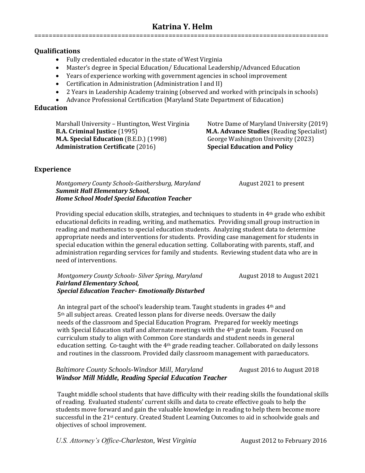## **Katrina Y. Helm**

=================================================================================

#### **Qualifications**

- Fully credentialed educator in the state of West Virginia
- Master's degree in Special Education/ Educational Leadership/Advanced Education
- Years of experience working with government agencies in school improvement
- Certification in Administration (Administration I and II)
- 2 Years in Leadership Academy training (observed and worked with principals in schools)
- Advance Professional Certification (Maryland State Department of Education)

#### **Education**

Marshall University – Huntington, West Virginia Notre Dame of Maryland University (2019) **B.A. Criminal Justice** (1995) **M.A. Advance Studies** (Reading Specialist) **M.A. Special Education** (B.E.D.) (1998) George Washington University (2023) **Administration Certificate** (2016) **Special Education and Policy**

#### **Experience**

*Montgomery County Schools-Gaithersburg, Maryland* **August 2021 to present** *Summit Hall Elementary School, Home School Model Special Education Teacher*

Providing special education skills, strategies, and techniques to students in 4<sup>th</sup> grade who exhibit educational deficits in reading, writing, and mathematics. Providing small group instruction in reading and mathematics to special education students. Analyzing student data to determine appropriate needs and interventions for students. Providing case management for students in special education within the general education setting. Collaborating with parents, staff, and administration regarding services for family and students. Reviewing student data who are in need of interventions.

*Montgomery County Schools- Silver Spring, Maryland* **August 2018** August 2021  *Fairland Elementary School, Special Education Teacher- Emotionally Disturbed*

An integral part of the school's leadership team. Taught students in grades  $4<sup>th</sup>$  and 5th all subject areas. Created lesson plans for diverse needs. Oversaw the daily needs of the classroom and Special Education Program. Prepared for weekly meetings with Special Education staff and alternate meetings with the 4<sup>th</sup> grade team. Focused on curriculum study to align with Common Core standards and student needs in general education setting. Co-taught with the 4th grade reading teacher. Collaborated on daily lessons and routines in the classroom. Provided daily classroom management with paraeducators.

### *Baltimore County Schools-Windsor Mill, Maryland* August 2016 to August 2018 *Windsor Mill Middle, Reading Special Education Teacher*

Taught middle school students that have difficulty with their reading skills the foundational skills of reading. Evaluated students' current skills and data to create effective goals to help the students move forward and gain the valuable knowledge in reading to help them become more successful in the 21<sup>st</sup> century. Created Student Learning Outcomes to aid in schoolwide goals and objectives of school improvement.

*U.S. Attorney's Office-Charleston, West Virginia* August 2012 to February 2016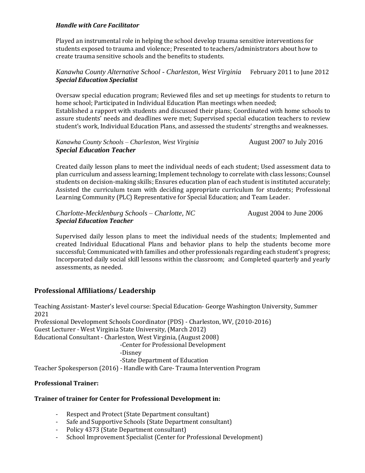#### *Handle with Care Facilitator*

Played an instrumental role in helping the school develop trauma sensitive interventions for students exposed to trauma and violence; Presented to teachers/administrators about how to create trauma sensitive schools and the benefits to students.

#### *Kanawha County Alternative School - Charleston, West Virginia* February 2011 to June 2012 *Special Education Specialist*

Oversaw special education program; Reviewed files and set up meetings for students to return to home school; Participated in Individual Education Plan meetings when needed; Established a rapport with students and discussed their plans; Coordinated with home schools to assure students' needs and deadlines were met; Supervised special education teachers to review student's work, Individual Education Plans, and assessed the students' strengths and weaknesses.

#### *Kanawha County Schools – Charleston, West Virginia* August 2007 to July 2016 *Special Education Teacher*

Created daily lesson plans to meet the individual needs of each student; Used assessment data to plan curriculum and assess learning; Implement technology to correlate with class lessons; Counsel students on decision-making skills; Ensures education plan of each student is instituted accurately; Assisted the curriculum team with deciding appropriate curriculum for students; Professional Learning Community (PLC) Representative for Special Education; and Team Leader.

*Charlotte-Mecklenburg Schools – Charlotte, NC* August 2004 to June 2006 *Special Education Teacher*

Supervised daily lesson plans to meet the individual needs of the students; Implemented and created Individual Educational Plans and behavior plans to help the students become more successful; Communicated with families and other professionals regarding each student's progress; Incorporated daily social skill lessons within the classroom; and Completed quarterly and yearly assessments, as needed.

### **Professional Affiliations/ Leadership**

Teaching Assistant- Master's level course: Special Education- George Washington University, Summer 2021 Professional Development Schools Coordinator (PDS) - Charleston, WV, (2010-2016) Guest Lecturer - West Virginia State University, (March 2012) Educational Consultant - Charleston, West Virginia, (August 2008) -Center for Professional Development -Disney -State Department of Education Teacher Spokesperson (2016) - Handle with Care- Trauma Intervention Program

#### **Professional Trainer:**

#### **Trainer of trainer for Center for Professional Development in:**

- Respect and Protect (State Department consultant)
- Safe and Supportive Schools (State Department consultant)
- Policy 4373 (State Department consultant)
- School Improvement Specialist (Center for Professional Development)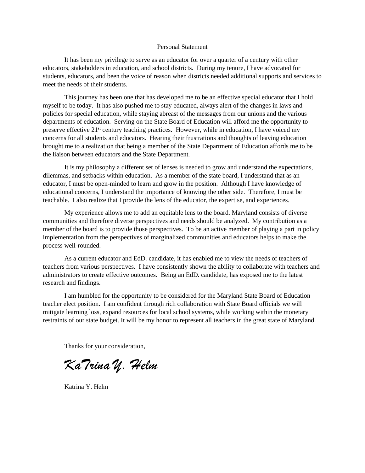#### Personal Statement

It has been my privilege to serve as an educator for over a quarter of a century with other educators, stakeholders in education, and school districts. During my tenure, I have advocated for students, educators, and been the voice of reason when districts needed additional supports and services to meet the needs of their students.

This journey has been one that has developed me to be an effective special educator that I hold myself to be today. It has also pushed me to stay educated, always alert of the changes in laws and policies for special education, while staying abreast of the messages from our unions and the various departments of education. Serving on the State Board of Education will afford me the opportunity to preserve effective 21<sup>st</sup> century teaching practices. However, while in education, I have voiced my concerns for all students and educators. Hearing their frustrations and thoughts of leaving education brought me to a realization that being a member of the State Department of Education affords me to be the liaison between educators and the State Department.

It is my philosophy a different set of lenses is needed to grow and understand the expectations, dilemmas, and setbacks within education. As a member of the state board, I understand that as an educator, I must be open-minded to learn and grow in the position. Although I have knowledge of educational concerns, I understand the importance of knowing the other side. Therefore, I must be teachable. I also realize that I provide the lens of the educator, the expertise, and experiences.

My experience allows me to add an equitable lens to the board. Maryland consists of diverse communities and therefore diverse perspectives and needs should be analyzed. My contribution as a member of the board is to provide those perspectives. To be an active member of playing a part in policy implementation from the perspectives of marginalized communities and educators helps to make the process well-rounded.

As a current educator and EdD. candidate, it has enabled me to view the needs of teachers of teachers from various perspectives. I have consistently shown the ability to collaborate with teachers and administrators to create effective outcomes. Being an EdD. candidate, has exposed me to the latest research and findings.

I am humbled for the opportunity to be considered for the Maryland State Board of Education teacher elect position. I am confident through rich collaboration with State Board officials we will mitigate learning loss, expand resources for local school systems, while working within the monetary restraints of our state budget. It will be my honor to represent all teachers in the great state of Maryland.

Thanks for your consideration,

KaTrina Y. Helm

Katrina Y. Helm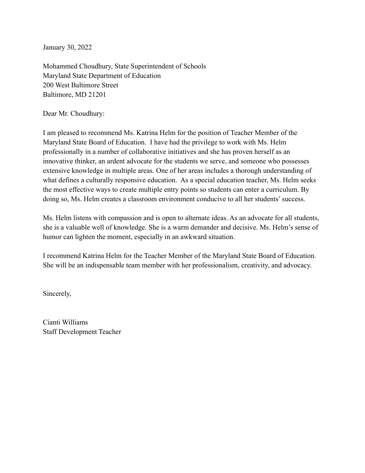January 30, 2022

Mohammed Choudhury, State Superintendent of Schools Maryland State Department of Education 200 West Baltimore Street Baltimore, MD 21201

Dear Mr. Choudhury:

I am pleased to recommend Ms. Katrina Helm for the position of Teacher Member of the Maryland State Board of Education. I have had the privilege to work with Ms. Helm professionally in a number of collaborative initiatives and she has proven herself as an innovative thinker, an ardent advocate for the students we serve, and someone who possesses extensive knowledge in multiple areas. One of her areas includes a thorough understanding of what defines a culturally responsive education. As a special education teacher, Ms. Helm seeks the most effective ways to create multiple entry points so students can enter a curriculum. By doing so, Ms. Helm creates a classroom environment conducive to all her students' success.

Ms. Helm listens with compassion and is open to alternate ideas. As an advocate for all students, she is a valuable well of knowledge. She is a warm demander and decisive. Ms. Helm's sense of humor can lighten the moment, especially in an awkward situation.

I recommend Katrina Helm for the Teacher Member of the Maryland State Board of Education. She will be an indispensable team member with her professionalism, creativity, and advocacy.

Sincerely,

Cianti Williams Staff Development Teacher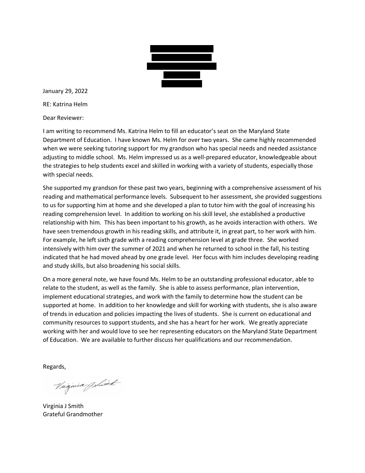

January 29, 2022 RE: Katrina Helm

Dear Reviewer:

 I am writing to recommend Ms. Katrina Helm to fill an educator's seat on the Maryland State Department of Education. I have known Ms. Helm for over two years. She came highly recommended when we were seeking tutoring support for my grandson who has special needs and needed assistance adjusting to middle school. Ms. Helm impressed us as a well-prepared educator, knowledgeable about the strategies to help students excel and skilled in working with a variety of students, especially those with special needs.

 She supported my grandson for these past two years, beginning with a comprehensive assessment of his reading and mathematical performance levels. Subsequent to her assessment, she provided suggestions to us for supporting him at home and she developed a plan to tutor him with the goal of increasing his reading comprehension level. In addition to working on his skill level, she established a productive relationship with him. This has been important to his growth, as he avoids interaction with others. We have seen tremendous growth in his reading skills, and attribute it, in great part, to her work with him. For example, he left sixth grade with a reading comprehension level at grade three. She worked intensively with him over the summer of 2021 and when he returned to school in the fall, his testing indicated that he had moved ahead by one grade level. Her focus with him includes developing reading and study skills, but also broadening his social skills.

 On a more general note, we have found Ms. Helm to be an outstanding professional educator, able to relate to the student, as well as the family. She is able to assess performance, plan intervention, implement educational strategies, and work with the family to determine how the student can be supported at home. In addition to her knowledge and skill for working with students, she is also aware of trends in education and policies impacting the lives of students. She is current on educational and community resources to support students, and she has a heart for her work. We greatly appreciate working with her and would love to see her representing educators on the Maryland State Department of Education. We are available to further discuss her qualifications and our recommendation.

Regards,

Virginia Germant

Virginia J Smith Grateful Grandmother